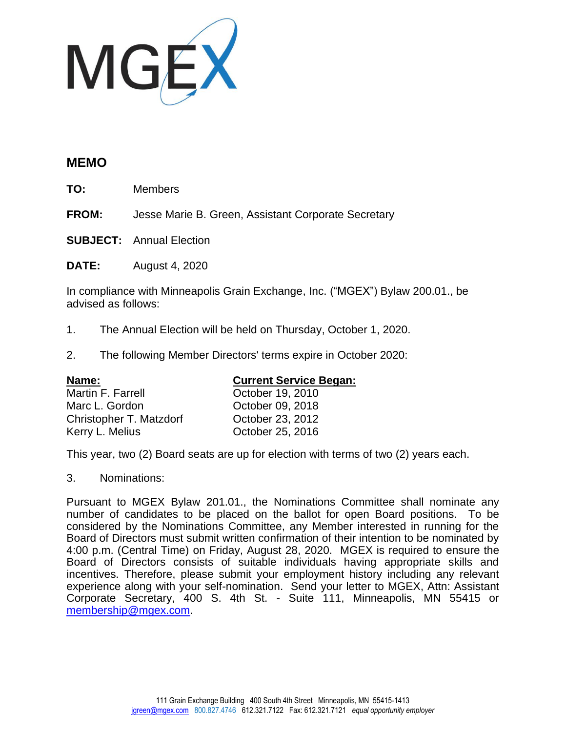

## **MEMO**

**TO:** Members

**FROM:** Jesse Marie B. Green, Assistant Corporate Secretary

**SUBJECT:** Annual Election

**DATE:** August 4, 2020

In compliance with Minneapolis Grain Exchange, Inc. ("MGEX") Bylaw 200.01., be advised as follows:

- 1. The Annual Election will be held on Thursday, October 1, 2020.
- 2. The following Member Directors' terms expire in October 2020:

| Name:                   | <b>Current Service Began:</b> |
|-------------------------|-------------------------------|
| Martin F. Farrell       | October 19, 2010              |
| Marc L. Gordon          | October 09, 2018              |
| Christopher T. Matzdorf | October 23, 2012              |
| Kerry L. Melius         | October 25, 2016              |

This year, two (2) Board seats are up for election with terms of two (2) years each.

3. Nominations:

Pursuant to MGEX Bylaw 201.01., the Nominations Committee shall nominate any number of candidates to be placed on the ballot for open Board positions. To be considered by the Nominations Committee, any Member interested in running for the Board of Directors must submit written confirmation of their intention to be nominated by 4:00 p.m. (Central Time) on Friday, August 28, 2020. MGEX is required to ensure the Board of Directors consists of suitable individuals having appropriate skills and incentives. Therefore, please submit your employment history including any relevant experience along with your self-nomination. Send your letter to MGEX, Attn: Assistant Corporate Secretary, 400 S. 4th St. - Suite 111, Minneapolis, MN 55415 or [membership@mgex.com.](mailto:membership@mgex.com)